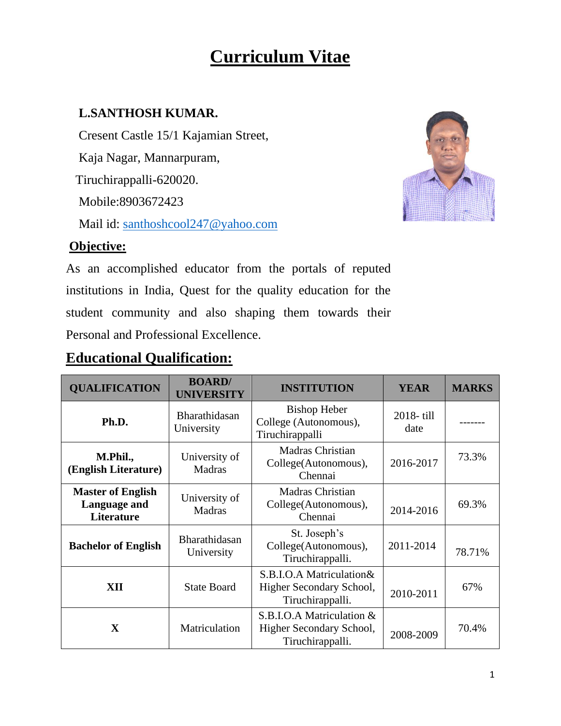# **Curriculum Vitae**

#### **L.SANTHOSH KUMAR.**

 Cresent Castle 15/1 Kajamian Street, Kaja Nagar, Mannarpuram, Tiruchirappalli-620020. Mobile:8903672423 Mail id: santhoshcool247@yahoo.com



#### **Objective:**

As an accomplished educator from the portals of reputed institutions in India, Quest for the quality education for the student community and also shaping them towards their Personal and Professional Excellence.

#### **Educational Qualification:**

| <b>QUALIFICATION</b>                                          | <b>BOARD/</b><br><b>UNIVERSITY</b> | <b>INSTITUTION</b>                                                        | <b>YEAR</b>       | <b>MARKS</b> |
|---------------------------------------------------------------|------------------------------------|---------------------------------------------------------------------------|-------------------|--------------|
| Ph.D.                                                         | Bharathidasan<br>University        | <b>Bishop Heber</b><br>College (Autonomous),<br>Tiruchirappalli           | 2018-till<br>date |              |
| M.Phil.,<br>(English Literature)                              | University of<br><b>Madras</b>     | Madras Christian<br>College(Autonomous),<br>Chennai                       | 2016-2017         | 73.3%        |
| <b>Master of English</b><br>Language and<br><b>Literature</b> | University of<br><b>Madras</b>     | <b>Madras Christian</b><br>College(Autonomous),<br>Chennai                | 2014-2016         | 69.3%        |
| <b>Bachelor of English</b>                                    | Bharathidasan<br>University        | St. Joseph's<br>College(Autonomous),<br>Tiruchirappalli.                  | 2011-2014         | 78.71%       |
| XII                                                           | <b>State Board</b>                 | S.B.I.O.A Matriculation&<br>Higher Secondary School,<br>Tiruchirappalli.  | 2010-2011         | 67%          |
| $\mathbf x$                                                   | Matriculation                      | S.B.I.O.A Matriculation &<br>Higher Secondary School,<br>Tiruchirappalli. | 2008-2009         | 70.4%        |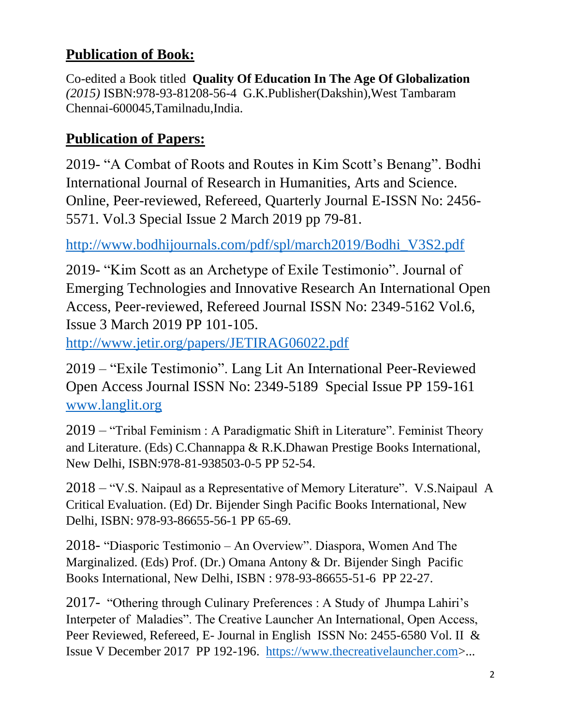# **Publication of Book:**

Co-edited a Book titled **Quality Of Education In The Age Of Globalization** *(2015)* ISBN:978-93-81208-56-4 G.K.Publisher(Dakshin),West Tambaram Chennai-600045,Tamilnadu,India.

## **Publication of Papers:**

2019- "A Combat of Roots and Routes in Kim Scott's Benang". Bodhi International Journal of Research in Humanities, Arts and Science. Online, Peer-reviewed, Refereed, Quarterly Journal E-ISSN No: 2456- 5571. Vol.3 Special Issue 2 March 2019 pp 79-81.

[http://www.bodhijournals.com/pdf/spl/march2019/Bodhi\\_V3S2.pdf](http://www.bodhijournals.com/pdf/spl/march2019/Bodhi_V3S2.pdf)

2019- "Kim Scott as an Archetype of Exile Testimonio". Journal of Emerging Technologies and Innovative Research An International Open Access, Peer-reviewed, Refereed Journal ISSN No: 2349-5162 Vol.6, Issue 3 March 2019 PP 101-105.

<http://www.jetir.org/papers/JETIRAG06022.pdf>

2019 – "Exile Testimonio". Lang Lit An International Peer-Reviewed Open Access Journal ISSN No: 2349-5189 Special Issue PP 159-161 [www.langlit.org](http://www.langlit.org/)

2019 – "Tribal Feminism : A Paradigmatic Shift in Literature". Feminist Theory and Literature. (Eds) C.Channappa & R.K.Dhawan Prestige Books International, New Delhi, ISBN:978-81-938503-0-5 PP 52-54.

2018 – "V.S. Naipaul as a Representative of Memory Literature". V.S.Naipaul A Critical Evaluation. (Ed) Dr. Bijender Singh Pacific Books International, New Delhi, ISBN: 978-93-86655-56-1 PP 65-69.

2018- "Diasporic Testimonio – An Overview". Diaspora, Women And The Marginalized. (Eds) Prof. (Dr.) Omana Antony & Dr. Bijender Singh Pacific Books International, New Delhi, ISBN : 978-93-86655-51-6 PP 22-27.

2017- "Othering through Culinary Preferences : A Study of Jhumpa Lahiri's Interpeter of Maladies". The Creative Launcher An International, Open Access, Peer Reviewed, Refereed, E- Journal in English ISSN No: 2455-6580 Vol. II & Issue V December 2017 PP 192-196. [https://www.thecreativelauncher.com>](https://www.thecreativelauncher.com/)...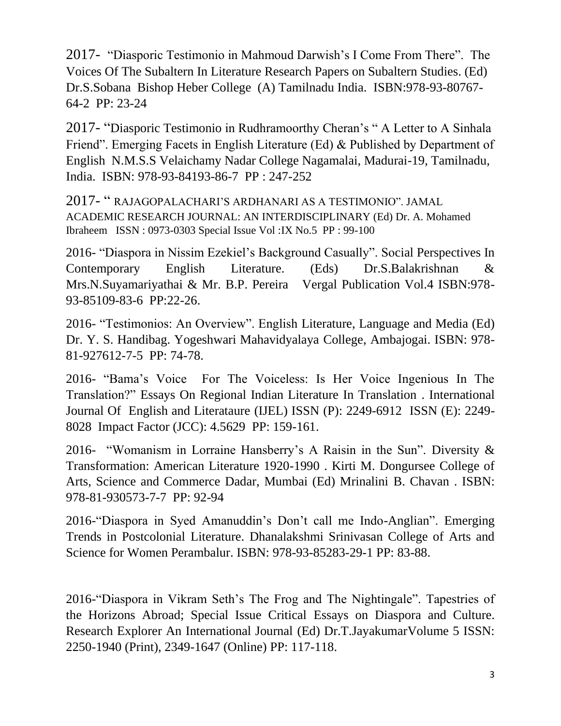2017- "Diasporic Testimonio in Mahmoud Darwish's I Come From There". The Voices Of The Subaltern In Literature Research Papers on Subaltern Studies. (Ed) Dr.S.Sobana Bishop Heber College (A) Tamilnadu India. ISBN:978-93-80767- 64-2 PP: 23-24

2017- "Diasporic Testimonio in Rudhramoorthy Cheran's " A Letter to A Sinhala Friend". Emerging Facets in English Literature (Ed) & Published by Department of English N.M.S.S Velaichamy Nadar College Nagamalai, Madurai-19, Tamilnadu, India. ISBN: 978-93-84193-86-7 PP : 247-252

2017- " RAJAGOPALACHARI'S ARDHANARI AS A TESTIMONIO". JAMAL ACADEMIC RESEARCH JOURNAL: AN INTERDISCIPLINARY (Ed) Dr. A. Mohamed Ibraheem ISSN : 0973-0303 Special Issue Vol :IX No.5 PP : 99-100

2016- "Diaspora in Nissim Ezekiel's Background Casually". Social Perspectives In Contemporary English Literature. (Eds) Dr.S.Balakrishnan & Mrs.N.Suyamariyathai & Mr. B.P. Pereira Vergal Publication Vol.4 ISBN:978- 93-85109-83-6 PP:22-26.

2016- "Testimonios: An Overview". English Literature, Language and Media (Ed) Dr. Y. S. Handibag. Yogeshwari Mahavidyalaya College, Ambajogai. ISBN: 978- 81-927612-7-5 PP: 74-78.

2016- "Bama's Voice For The Voiceless: Is Her Voice Ingenious In The Translation?" Essays On Regional Indian Literature In Translation . International Journal Of English and Literataure (IJEL) ISSN (P): 2249-6912 ISSN (E): 2249- 8028 Impact Factor (JCC): 4.5629 PP: 159-161.

2016- "Womanism in Lorraine Hansberry's A Raisin in the Sun". Diversity & Transformation: American Literature 1920-1990 . Kirti M. Dongursee College of Arts, Science and Commerce Dadar, Mumbai (Ed) Mrinalini B. Chavan . ISBN: 978-81-930573-7-7 PP: 92-94

2016-"Diaspora in Syed Amanuddin's Don't call me Indo-Anglian". Emerging Trends in Postcolonial Literature. Dhanalakshmi Srinivasan College of Arts and Science for Women Perambalur. ISBN: 978-93-85283-29-1 PP: 83-88.

2016-"Diaspora in Vikram Seth's The Frog and The Nightingale". Tapestries of the Horizons Abroad; Special Issue Critical Essays on Diaspora and Culture. Research Explorer An International Journal (Ed) Dr.T.JayakumarVolume 5 ISSN: 2250-1940 (Print), 2349-1647 (Online) PP: 117-118.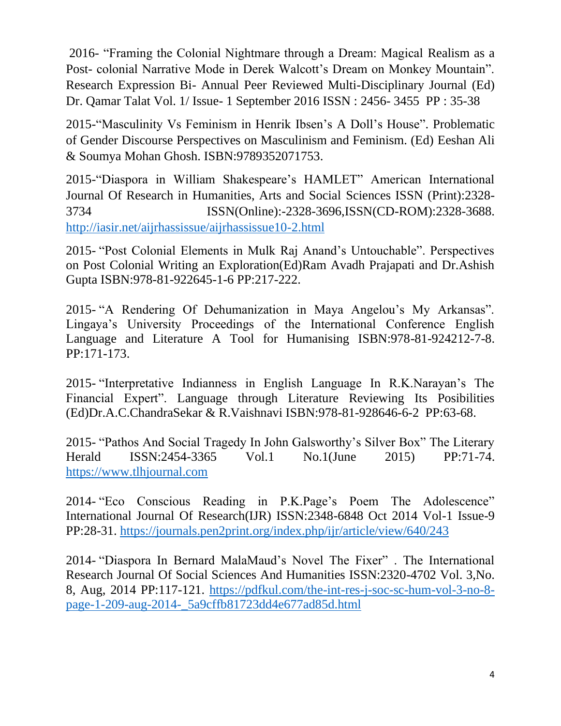2016- "Framing the Colonial Nightmare through a Dream: Magical Realism as a Post- colonial Narrative Mode in Derek Walcott's Dream on Monkey Mountain". Research Expression Bi- Annual Peer Reviewed Multi-Disciplinary Journal (Ed) Dr. Qamar Talat Vol. 1/ Issue- 1 September 2016 ISSN : 2456- 3455 PP : 35-38

2015-"Masculinity Vs Feminism in Henrik Ibsen's A Doll's House". Problematic of Gender Discourse Perspectives on Masculinism and Feminism. (Ed) Eeshan Ali & Soumya Mohan Ghosh. ISBN:9789352071753.

2015-"Diaspora in William Shakespeare's HAMLET" American International Journal Of Research in Humanities, Arts and Social Sciences ISSN (Print):2328- 3734 ISSN(Online):-2328-3696,ISSN(CD-ROM):2328-3688. <http://iasir.net/aijrhassissue/aijrhassissue10-2.html>

2015- "Post Colonial Elements in Mulk Raj Anand's Untouchable". Perspectives on Post Colonial Writing an Exploration(Ed)Ram Avadh Prajapati and Dr.Ashish Gupta ISBN:978-81-922645-1-6 PP:217-222.

2015- "A Rendering Of Dehumanization in Maya Angelou's My Arkansas". Lingaya's University Proceedings of the International Conference English Language and Literature A Tool for Humanising ISBN:978-81-924212-7-8. PP:171-173.

2015- "Interpretative Indianness in English Language In R.K.Narayan's The Financial Expert". Language through Literature Reviewing Its Posibilities (Ed)Dr.A.C.ChandraSekar & R.Vaishnavi ISBN:978-81-928646-6-2 PP:63-68.

2015- "Pathos And Social Tragedy In John Galsworthy's Silver Box" The Literary Herald ISSN:2454-3365 Vol.1 No.1(June 2015) PP:71-74. [https://www.tlhjournal.com](https://www.tlhjournal.com/)

2014- "Eco Conscious Reading in P.K.Page's Poem The Adolescence" International Journal Of Research(IJR) ISSN:2348-6848 Oct 2014 Vol-1 Issue-9 PP:28-31. <https://journals.pen2print.org/index.php/ijr/article/view/640/243>

2014- "Diaspora In Bernard MalaMaud's Novel The Fixer" . The International Research Journal Of Social Sciences And Humanities ISSN:2320-4702 Vol. 3,No. 8, Aug, 2014 PP:117-121. [https://pdfkul.com/the-int-res-j-soc-sc-hum-vol-3-no-8](https://pdfkul.com/the-int-res-j-soc-sc-hum-vol-3-no-8-page-1-209-aug-2014-_5a9cffb81723dd4e677ad85d.html) [page-1-209-aug-2014-\\_5a9cffb81723dd4e677ad85d.html](https://pdfkul.com/the-int-res-j-soc-sc-hum-vol-3-no-8-page-1-209-aug-2014-_5a9cffb81723dd4e677ad85d.html)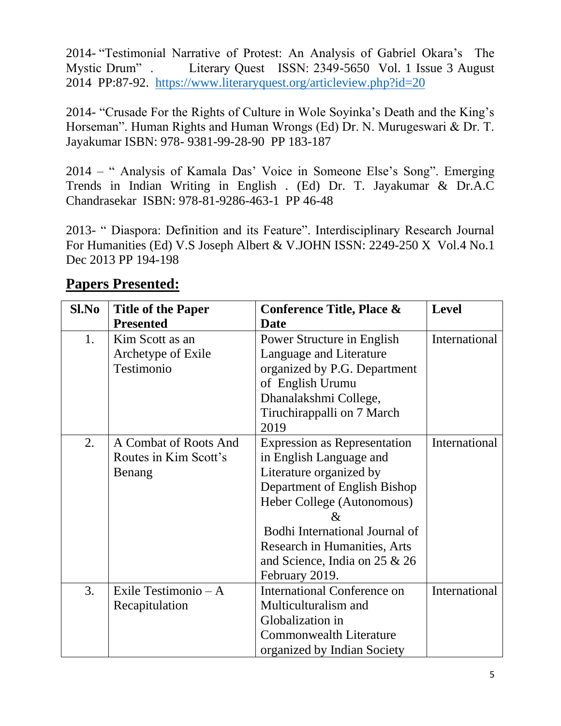2014- "Testimonial Narrative of Protest: An Analysis of Gabriel Okara's The Mystic Drum" . Literary Quest ISSN: 2349-5650 Vol. 1 Issue 3 August 2014 PP:87-92. <https://www.literaryquest.org/articleview.php?id=20>

2014- "Crusade For the Rights of Culture in Wole Soyinka's Death and the King's Horseman". Human Rights and Human Wrongs (Ed) Dr. N. Murugeswari & Dr. T. Jayakumar ISBN: 978- 9381-99-28-90 PP 183-187

2014 – " Analysis of Kamala Das' Voice in Someone Else's Song". Emerging Trends in Indian Writing in English . (Ed) Dr. T. Jayakumar & Dr.A.C Chandrasekar ISBN: 978-81-9286-463-1 PP 46-48

2013- " Diaspora: Definition and its Feature". Interdisciplinary Research Journal For Humanities (Ed) V.S Joseph Albert & V.JOHN ISSN: 2249-250 X Vol.4 No.1 Dec 2013 PP 194-198

| Sl.No | <b>Title of the Paper</b> | <b>Conference Title, Place &amp;</b> | <b>Level</b>  |
|-------|---------------------------|--------------------------------------|---------------|
|       | <b>Presented</b>          | <b>Date</b>                          |               |
| 1.    | Kim Scott as an           | Power Structure in English           | International |
|       | Archetype of Exile        | Language and Literature              |               |
|       | Testimonio                | organized by P.G. Department         |               |
|       |                           | of English Urumu                     |               |
|       |                           | Dhanalakshmi College,                |               |
|       |                           | Tiruchirappalli on 7 March           |               |
|       |                           | 2019                                 |               |
| 2.    | A Combat of Roots And     | <b>Expression as Representation</b>  | International |
|       | Routes in Kim Scott's     | in English Language and              |               |
|       | Benang                    | Literature organized by              |               |
|       |                           | Department of English Bishop         |               |
|       |                           | Heber College (Autonomous)           |               |
|       |                           | &                                    |               |
|       |                           | Bodhi International Journal of       |               |
|       |                           | <b>Research in Humanities, Arts</b>  |               |
|       |                           | and Science, India on $25 & 26$      |               |
|       |                           | February 2019.                       |               |
| 3.    | Exile Testimonio $- A$    | <b>International Conference on</b>   | International |
|       | Recapitulation            | Multiculturalism and                 |               |
|       |                           | Globalization in                     |               |
|       |                           | <b>Commonwealth Literature</b>       |               |
|       |                           | organized by Indian Society          |               |

#### **Papers Presented:**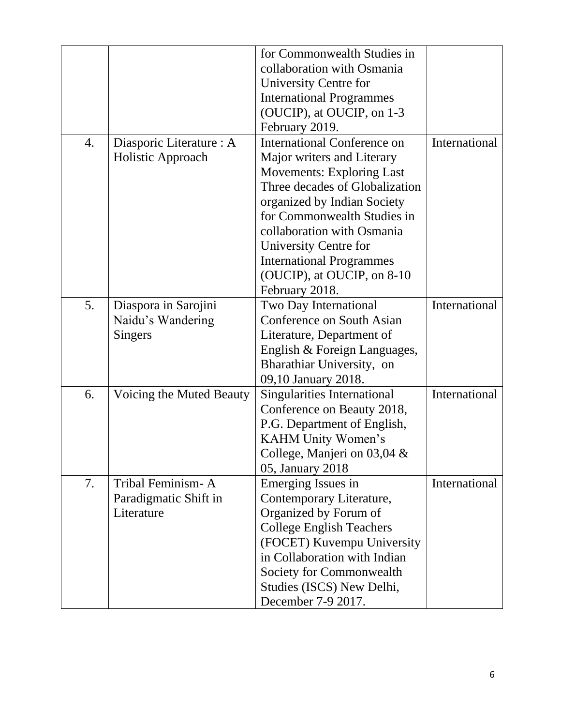|    |                          | for Commonwealth Studies in        |               |
|----|--------------------------|------------------------------------|---------------|
|    |                          | collaboration with Osmania         |               |
|    |                          | University Centre for              |               |
|    |                          | <b>International Programmes</b>    |               |
|    |                          | (OUCIP), at OUCIP, on 1-3          |               |
|    |                          | February 2019.                     |               |
| 4. | Diasporic Literature : A | <b>International Conference on</b> | International |
|    | Holistic Approach        | Major writers and Literary         |               |
|    |                          | <b>Movements: Exploring Last</b>   |               |
|    |                          | Three decades of Globalization     |               |
|    |                          | organized by Indian Society        |               |
|    |                          | for Commonwealth Studies in        |               |
|    |                          | collaboration with Osmania         |               |
|    |                          | University Centre for              |               |
|    |                          | <b>International Programmes</b>    |               |
|    |                          | (OUCIP), at OUCIP, on 8-10         |               |
|    |                          | February 2018.                     |               |
| 5. | Diaspora in Sarojini     | Two Day International              | International |
|    | Naidu's Wandering        | Conference on South Asian          |               |
|    | Singers                  | Literature, Department of          |               |
|    |                          | English & Foreign Languages,       |               |
|    |                          | Bharathiar University, on          |               |
|    |                          | 09,10 January 2018.                |               |
| 6. | Voicing the Muted Beauty | Singularities International        | International |
|    |                          | Conference on Beauty 2018,         |               |
|    |                          | P.G. Department of English,        |               |
|    |                          | KAHM Unity Women's                 |               |
|    |                          | College, Manjeri on 03,04 &        |               |
|    |                          | 05, January 2018                   |               |
| 7. | Tribal Feminism-A        | Emerging Issues in                 | International |
|    | Paradigmatic Shift in    | Contemporary Literature,           |               |
|    | Literature               | Organized by Forum of              |               |
|    |                          | <b>College English Teachers</b>    |               |
|    |                          | (FOCET) Kuvempu University         |               |
|    |                          | in Collaboration with Indian       |               |
|    |                          | Society for Commonwealth           |               |
|    |                          | Studies (ISCS) New Delhi,          |               |
|    |                          | December 7-9 2017.                 |               |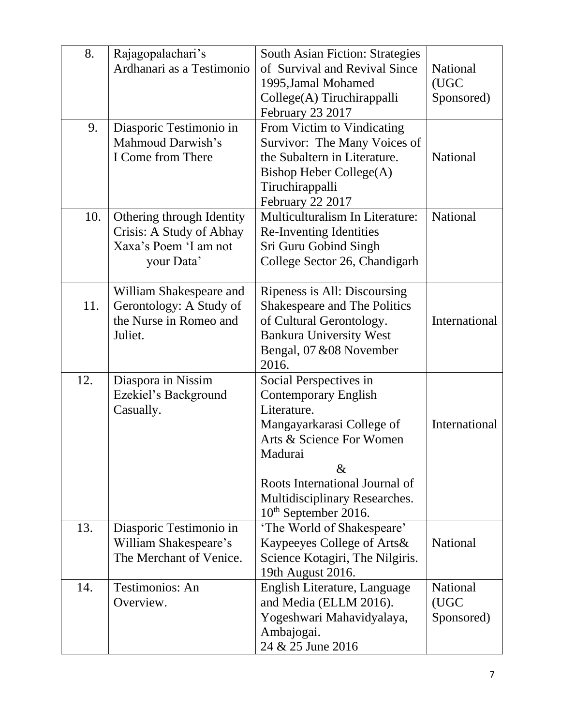| 8.  | Rajagopalachari's         | <b>South Asian Fiction: Strategies</b> |                 |
|-----|---------------------------|----------------------------------------|-----------------|
|     | Ardhanari as a Testimonio | of Survival and Revival Since          | National        |
|     |                           | 1995, Jamal Mohamed                    | (UGC            |
|     |                           | College(A) Tiruchirappalli             | Sponsored)      |
|     |                           | February 23 2017                       |                 |
| 9.  | Diasporic Testimonio in   | From Victim to Vindicating             |                 |
|     | Mahmoud Darwish's         | Survivor: The Many Voices of           |                 |
|     | I Come from There         | the Subaltern in Literature.           | National        |
|     |                           | Bishop Heber College(A)                |                 |
|     |                           | Tiruchirappalli                        |                 |
|     |                           | February 22 2017                       |                 |
| 10. | Othering through Identity | Multiculturalism In Literature:        | National        |
|     | Crisis: A Study of Abhay  | <b>Re-Inventing Identities</b>         |                 |
|     | Xaxa's Poem 'I am not     | Sri Guru Gobind Singh                  |                 |
|     | your Data'                | College Sector 26, Chandigarh          |                 |
|     |                           |                                        |                 |
|     | William Shakespeare and   | Ripeness is All: Discoursing           |                 |
| 11. | Gerontology: A Study of   | <b>Shakespeare and The Politics</b>    |                 |
|     | the Nurse in Romeo and    | of Cultural Gerontology.               | International   |
|     | Juliet.                   | <b>Bankura University West</b>         |                 |
|     |                           | Bengal, 07 & 08 November               |                 |
|     |                           | 2016.                                  |                 |
| 12. | Diaspora in Nissim        | Social Perspectives in                 |                 |
|     | Ezekiel's Background      | <b>Contemporary English</b>            |                 |
|     | Casually.                 | Literature.                            |                 |
|     |                           | Mangayarkarasi College of              | International   |
|     |                           | Arts & Science For Women               |                 |
|     |                           | Madurai<br>$\&$                        |                 |
|     |                           | Roots International Journal of         |                 |
|     |                           | Multidisciplinary Researches.          |                 |
|     |                           | $10th$ September 2016.                 |                 |
| 13. | Diasporic Testimonio in   | 'The World of Shakespeare'             |                 |
|     | William Shakespeare's     | Kaypeeyes College of Arts&             | <b>National</b> |
|     | The Merchant of Venice.   | Science Kotagiri, The Nilgiris.        |                 |
|     |                           | 19th August 2016.                      |                 |
| 14. | <b>Testimonios: An</b>    | English Literature, Language           | <b>National</b> |
|     | Overview.                 | and Media (ELLM 2016).                 | (UGC            |
|     |                           | Yogeshwari Mahavidyalaya,              | Sponsored)      |
|     |                           | Ambajogai.                             |                 |
|     |                           | 24 & 25 June 2016                      |                 |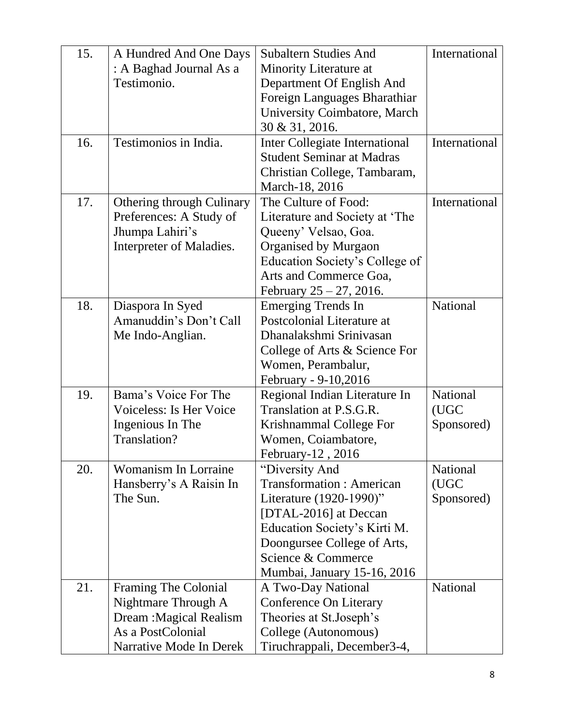| 15. | A Hundred And One Days      | <b>Subaltern Studies And</b>                      | International   |
|-----|-----------------------------|---------------------------------------------------|-----------------|
|     | : A Baghad Journal As a     | Minority Literature at                            |                 |
|     | Testimonio.                 | Department Of English And                         |                 |
|     |                             | Foreign Languages Bharathiar                      |                 |
|     |                             | University Coimbatore, March                      |                 |
|     |                             | 30 & 31, 2016.                                    |                 |
| 16. | Testimonios in India.       | Inter Collegiate International                    | International   |
|     |                             | <b>Student Seminar at Madras</b>                  |                 |
|     |                             | Christian College, Tambaram,                      |                 |
|     |                             | March-18, 2016                                    |                 |
| 17. | Othering through Culinary   | The Culture of Food:                              | International   |
|     | Preferences: A Study of     | Literature and Society at 'The                    |                 |
|     | Jhumpa Lahiri's             | Queeny' Velsao, Goa.                              |                 |
|     | Interpreter of Maladies.    | Organised by Murgaon                              |                 |
|     |                             | Education Society's College of                    |                 |
|     |                             | Arts and Commerce Goa,                            |                 |
|     |                             | February $25 - 27$ , 2016.                        |                 |
| 18. | Diaspora In Syed            | <b>Emerging Trends In</b>                         | National        |
|     | Amanuddin's Don't Call      | Postcolonial Literature at                        |                 |
|     | Me Indo-Anglian.            | Dhanalakshmi Srinivasan                           |                 |
|     |                             | College of Arts & Science For                     |                 |
|     |                             | Women, Perambalur,                                |                 |
|     |                             | February - 9-10,2016                              |                 |
| 19. | Bama's Voice For The        | Regional Indian Literature In                     | National        |
|     | Voiceless: Is Her Voice     | Translation at P.S.G.R.                           | (UGC            |
|     | Ingenious In The            | Krishnammal College For                           | Sponsored)      |
|     | Translation?                | Women, Coiambatore,                               |                 |
|     |                             | February-12, 2016                                 |                 |
| 20. | <b>Womanism In Lorraine</b> | "Diversity And                                    | <b>National</b> |
|     | Hansberry's A Raisin In     | <b>Transformation: American</b>                   | (UGC            |
|     | The Sun.                    | Literature (1920-1990)"                           | Sponsored)      |
|     |                             | [DTAL-2016] at Deccan                             |                 |
|     |                             | Education Society's Kirti M.                      |                 |
|     |                             | Doongursee College of Arts,<br>Science & Commerce |                 |
|     |                             |                                                   |                 |
| 21. | Framing The Colonial        | Mumbai, January 15-16, 2016<br>A Two-Day National | National        |
|     | Nightmare Through A         | Conference On Literary                            |                 |
|     | Dream : Magical Realism     | Theories at St.Joseph's                           |                 |
|     | As a PostColonial           | College (Autonomous)                              |                 |
|     | Narrative Mode In Derek     | Tiruchrappali, December3-4,                       |                 |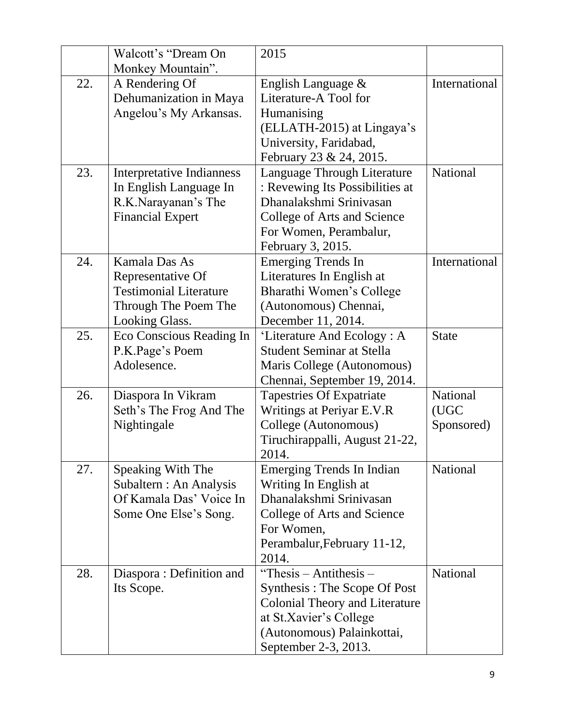|     | Walcott's "Dream On              | 2015                                  |               |
|-----|----------------------------------|---------------------------------------|---------------|
|     | Monkey Mountain".                |                                       |               |
| 22. | A Rendering Of                   | English Language $\&$                 | International |
|     | Dehumanization in Maya           | Literature-A Tool for                 |               |
|     | Angelou's My Arkansas.           | Humanising                            |               |
|     |                                  | (ELLATH-2015) at Lingaya's            |               |
|     |                                  | University, Faridabad,                |               |
|     |                                  | February 23 & 24, 2015.               |               |
| 23. | <b>Interpretative Indianness</b> | Language Through Literature           | National      |
|     | In English Language In           | : Revewing Its Possibilities at       |               |
|     | R.K.Narayanan's The              | Dhanalakshmi Srinivasan               |               |
|     | <b>Financial Expert</b>          | College of Arts and Science           |               |
|     |                                  | For Women, Perambalur,                |               |
|     |                                  | February 3, 2015.                     |               |
| 24. | Kamala Das As                    | <b>Emerging Trends In</b>             | International |
|     | Representative Of                | Literatures In English at             |               |
|     | <b>Testimonial Literature</b>    | Bharathi Women's College              |               |
|     | Through The Poem The             | (Autonomous) Chennai,                 |               |
|     | Looking Glass.                   | December 11, 2014.                    |               |
| 25. | Eco Conscious Reading In         | 'Literature And Ecology: A            | <b>State</b>  |
|     | P.K.Page's Poem                  | <b>Student Seminar at Stella</b>      |               |
|     | Adolesence.                      | Maris College (Autonomous)            |               |
|     |                                  | Chennai, September 19, 2014.          |               |
| 26. | Diaspora In Vikram               | Tapestries Of Expatriate              | National      |
|     | Seth's The Frog And The          | Writings at Periyar E.V.R             | (UGC          |
|     | Nightingale                      | College (Autonomous)                  | Sponsored)    |
|     |                                  | Tiruchirappalli, August 21-22,        |               |
|     |                                  | 2014.                                 |               |
| 27. | Speaking With The                | Emerging Trends In Indian             | National      |
|     | Subaltern : An Analysis          | Writing In English at                 |               |
|     | Of Kamala Das' Voice In          | Dhanalakshmi Srinivasan               |               |
|     | Some One Else's Song.            | College of Arts and Science           |               |
|     |                                  | For Women,                            |               |
|     |                                  | Perambalur, February 11-12,           |               |
|     |                                  | 2014.                                 |               |
| 28. | Diaspora: Definition and         | "Thesis $-$ Antithesis $-$            | National      |
|     | Its Scope.                       | Synthesis: The Scope Of Post          |               |
|     |                                  | <b>Colonial Theory and Literature</b> |               |
|     |                                  | at St.Xavier's College                |               |
|     |                                  | (Autonomous) Palainkottai,            |               |
|     |                                  | September 2-3, 2013.                  |               |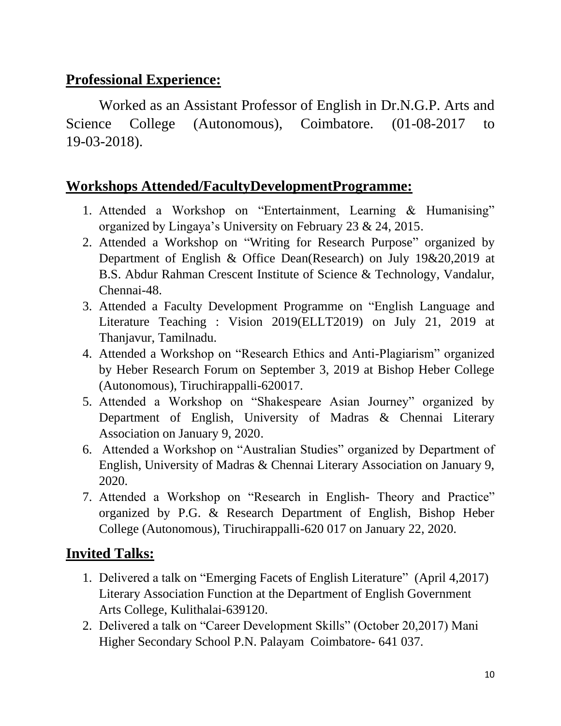#### **Professional Experience:**

Worked as an Assistant Professor of English in Dr.N.G.P. Arts and Science College (Autonomous), Coimbatore. (01-08-2017 to 19-03-2018).

#### **Workshops Attended/FacultyDevelopmentProgramme:**

- 1. Attended a Workshop on "Entertainment, Learning & Humanising" organized by Lingaya's University on February 23 & 24, 2015.
- 2. Attended a Workshop on "Writing for Research Purpose" organized by Department of English & Office Dean(Research) on July 19&20,2019 at B.S. Abdur Rahman Crescent Institute of Science & Technology, Vandalur, Chennai-48.
- 3. Attended a Faculty Development Programme on "English Language and Literature Teaching : Vision 2019(ELLT2019) on July 21, 2019 at Thanjavur, Tamilnadu.
- 4. Attended a Workshop on "Research Ethics and Anti-Plagiarism" organized by Heber Research Forum on September 3, 2019 at Bishop Heber College (Autonomous), Tiruchirappalli-620017.
- 5. Attended a Workshop on "Shakespeare Asian Journey" organized by Department of English, University of Madras & Chennai Literary Association on January 9, 2020.
- 6. Attended a Workshop on "Australian Studies" organized by Department of English, University of Madras & Chennai Literary Association on January 9, 2020.
- 7. Attended a Workshop on "Research in English- Theory and Practice" organized by P.G. & Research Department of English, Bishop Heber College (Autonomous), Tiruchirappalli-620 017 on January 22, 2020.

## **Invited Talks:**

- 1. Delivered a talk on "Emerging Facets of English Literature" (April 4,2017) Literary Association Function at the Department of English Government Arts College, Kulithalai-639120.
- 2. Delivered a talk on "Career Development Skills" (October 20,2017) Mani Higher Secondary School P.N. Palayam Coimbatore- 641 037.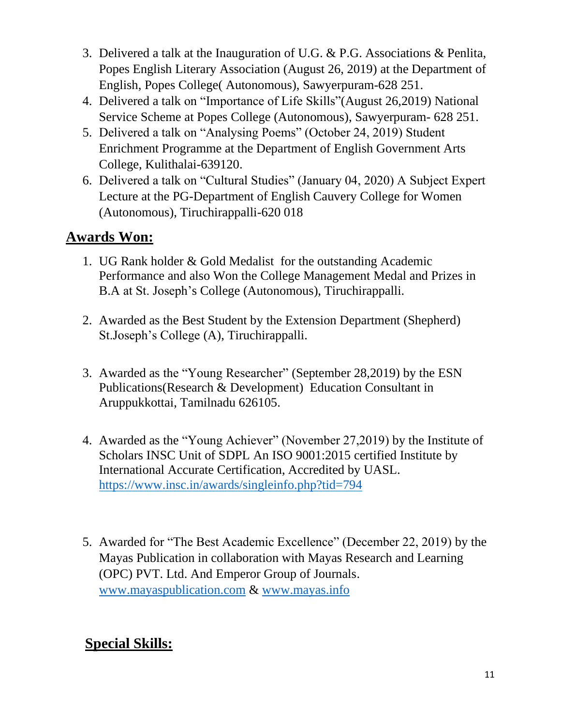- 3. Delivered a talk at the Inauguration of U.G. & P.G. Associations & Penlita, Popes English Literary Association (August 26, 2019) at the Department of English, Popes College( Autonomous), Sawyerpuram-628 251.
- 4. Delivered a talk on "Importance of Life Skills"(August 26,2019) National Service Scheme at Popes College (Autonomous), Sawyerpuram- 628 251.
- 5. Delivered a talk on "Analysing Poems" (October 24, 2019) Student Enrichment Programme at the Department of English Government Arts College, Kulithalai-639120.
- 6. Delivered a talk on "Cultural Studies" (January 04, 2020) A Subject Expert Lecture at the PG-Department of English Cauvery College for Women (Autonomous), Tiruchirappalli-620 018

# **Awards Won:**

- 1. UG Rank holder & Gold Medalist for the outstanding Academic Performance and also Won the College Management Medal and Prizes in B.A at St. Joseph's College (Autonomous), Tiruchirappalli.
- 2. Awarded as the Best Student by the Extension Department (Shepherd) St.Joseph's College (A), Tiruchirappalli.
- 3. Awarded as the "Young Researcher" (September 28,2019) by the ESN Publications(Research & Development) Education Consultant in Aruppukkottai, Tamilnadu 626105.
- 4. Awarded as the "Young Achiever" (November 27,2019) by the Institute of Scholars INSC Unit of SDPL An ISO 9001:2015 certified Institute by International Accurate Certification, Accredited by UASL. <https://www.insc.in/awards/singleinfo.php?tid=794>
- 5. Awarded for "The Best Academic Excellence" (December 22, 2019) by the Mayas Publication in collaboration with Mayas Research and Learning (OPC) PVT. Ltd. And Emperor Group of Journals. [www.mayaspublication.com](http://www.mayaspublication.com/) & [www.mayas.info](http://www.mayas.info/)

# **Special Skills:**